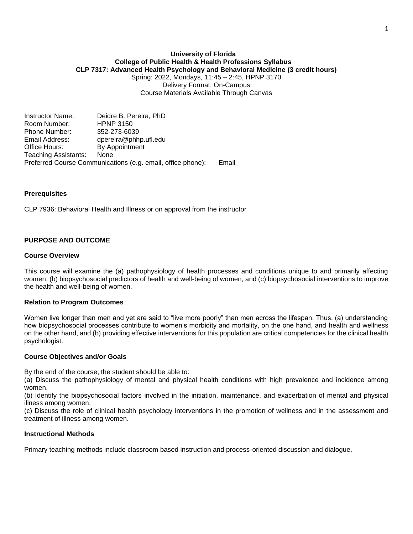### **University of Florida College of Public Health & Health Professions Syllabus CLP 7317: Advanced Health Psychology and Behavioral Medicine (3 credit hours)** Spring: 2022, Mondays, 11:45 – 2:45, HPNP 3170

Delivery Format: On-Campus Course Materials Available Through Canvas

Instructor Name: Deidre B. Pereira, PhD Room Number: HPNP 3150 Phone Number: 352-273-6039 Email Address: dpereira@phhp.ufl.edu Office Hours: By Appointment Teaching Assistants: None Preferred Course Communications (e.g. email, office phone): Email

### **Prerequisites**

CLP 7936: Behavioral Health and Illness or on approval from the instructor

### **PURPOSE AND OUTCOME**

#### **Course Overview**

This course will examine the (a) pathophysiology of health processes and conditions unique to and primarily affecting women, (b) biopsychosocial predictors of health and well-being of women, and (c) biopsychosocial interventions to improve the health and well-being of women.

#### **Relation to Program Outcomes**

Women live longer than men and yet are said to "live more poorly" than men across the lifespan. Thus, (a) understanding how biopsychosocial processes contribute to women's morbidity and mortality, on the one hand, and health and wellness on the other hand, and (b) providing effective interventions for this population are critical competencies for the clinical health psychologist.

#### **Course Objectives and/or Goals**

By the end of the course, the student should be able to:

(a) Discuss the pathophysiology of mental and physical health conditions with high prevalence and incidence among women.

(b) Identify the biopsychosocial factors involved in the initiation, maintenance, and exacerbation of mental and physical illness among women.

(c) Discuss the role of clinical health psychology interventions in the promotion of wellness and in the assessment and treatment of illness among women.

#### **Instructional Methods**

Primary teaching methods include classroom based instruction and process-oriented discussion and dialogue.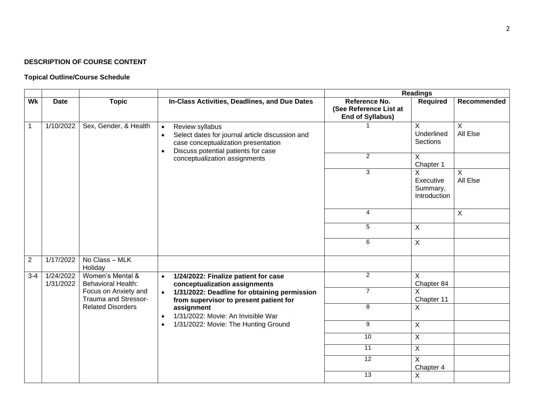# **DESCRIPTION OF COURSE CONTENT**

# **Topical Outline/Course Schedule**

|                |                        |                                               |                                                                                                                                                                                         | <b>Readings</b>                                                    |                                                     |                            |  |  |  |  |  |  |
|----------------|------------------------|-----------------------------------------------|-----------------------------------------------------------------------------------------------------------------------------------------------------------------------------------------|--------------------------------------------------------------------|-----------------------------------------------------|----------------------------|--|--|--|--|--|--|
| Wk             | <b>Date</b>            | <b>Topic</b>                                  | In-Class Activities, Deadlines, and Due Dates                                                                                                                                           | Reference No.<br>(See Reference List at<br><b>End of Syllabus)</b> | Required                                            | Recommended                |  |  |  |  |  |  |
| $\mathbf{1}$   | 1/10/2022              | Sex, Gender, & Health                         | Review syllabus<br>$\bullet$<br>Select dates for journal article discussion and<br>$\bullet$<br>case conceptualization presentation<br>Discuss potential patients for case<br>$\bullet$ |                                                                    | $\boldsymbol{\mathsf{X}}$<br>Underlined<br>Sections | $\overline{X}$<br>All Else |  |  |  |  |  |  |
|                |                        |                                               | conceptualization assignments                                                                                                                                                           | $\overline{2}$                                                     | $\overline{X}$<br>Chapter 1                         |                            |  |  |  |  |  |  |
|                |                        |                                               |                                                                                                                                                                                         | 3                                                                  | X<br>Executive<br>Summary,<br>Introduction          | X<br>All Else              |  |  |  |  |  |  |
|                |                        |                                               |                                                                                                                                                                                         | 4                                                                  |                                                     | X                          |  |  |  |  |  |  |
|                |                        |                                               |                                                                                                                                                                                         | 5                                                                  | $\overline{X}$                                      |                            |  |  |  |  |  |  |
|                |                        |                                               |                                                                                                                                                                                         | 6                                                                  | $\mathsf{X}$                                        |                            |  |  |  |  |  |  |
| $\overline{2}$ | 1/17/2022              | No Class - MLK<br>Holiday                     |                                                                                                                                                                                         |                                                                    |                                                     |                            |  |  |  |  |  |  |
| $3 - 4$        | 1/24/2022<br>1/31/2022 | Women's Mental &<br><b>Behavioral Health:</b> | 1/24/2022: Finalize patient for case<br>$\bullet$<br>conceptualization assignments                                                                                                      | $\overline{2}$                                                     | X<br>Chapter 84                                     |                            |  |  |  |  |  |  |
|                |                        | Focus on Anxiety and<br>Trauma and Stressor-  | 1/31/2022: Deadline for obtaining permission<br>$\bullet$<br>from supervisor to present patient for                                                                                     | $\overline{7}$                                                     | X<br>Chapter 11                                     |                            |  |  |  |  |  |  |
|                |                        | <b>Related Disorders</b>                      | assignment<br>1/31/2022: Movie: An Invisible War<br>$\bullet$                                                                                                                           | 8                                                                  | X                                                   |                            |  |  |  |  |  |  |
|                |                        |                                               | 1/31/2022: Movie: The Hunting Ground<br>$\bullet$                                                                                                                                       | 9                                                                  | $\overline{X}$                                      |                            |  |  |  |  |  |  |
|                |                        |                                               |                                                                                                                                                                                         | 10                                                                 | $\overline{X}$                                      |                            |  |  |  |  |  |  |
|                |                        |                                               |                                                                                                                                                                                         | 11                                                                 | $\overline{\mathsf{x}}$                             |                            |  |  |  |  |  |  |
|                |                        |                                               |                                                                                                                                                                                         | $\overline{12}$                                                    | $\overline{\mathsf{x}}$<br>Chapter 4                |                            |  |  |  |  |  |  |
|                |                        |                                               |                                                                                                                                                                                         | $\overline{13}$                                                    | X                                                   |                            |  |  |  |  |  |  |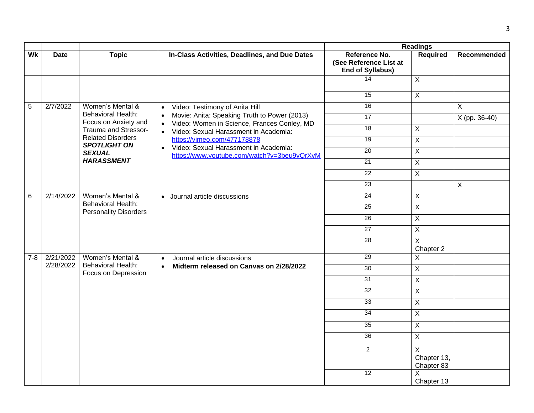|         |                                                                                       |                                                           |                                                                                                                       |                                                                    | <b>Readings</b>                |               |
|---------|---------------------------------------------------------------------------------------|-----------------------------------------------------------|-----------------------------------------------------------------------------------------------------------------------|--------------------------------------------------------------------|--------------------------------|---------------|
| Wk      | <b>Date</b>                                                                           | <b>Topic</b>                                              | In-Class Activities, Deadlines, and Due Dates                                                                         | Reference No.<br>(See Reference List at<br><b>End of Syllabus)</b> | <b>Required</b>                | Recommended   |
|         |                                                                                       |                                                           |                                                                                                                       | 14                                                                 | $\sf X$                        |               |
|         |                                                                                       |                                                           |                                                                                                                       | 15                                                                 | $\overline{X}$                 |               |
| 5       | 2/7/2022                                                                              | Women's Mental &                                          | Video: Testimony of Anita Hill<br>$\bullet$                                                                           | 16                                                                 |                                | $\mathsf X$   |
|         |                                                                                       | <b>Behavioral Health:</b><br>Focus on Anxiety and         | Movie: Anita: Speaking Truth to Power (2013)<br>$\bullet$<br>Video: Women in Science, Frances Conley, MD<br>$\bullet$ | 17                                                                 |                                | X (pp. 36-40) |
|         |                                                                                       | Trauma and Stressor-                                      | Video: Sexual Harassment in Academia:<br>$\bullet$                                                                    | 18                                                                 | $\overline{X}$                 |               |
|         | <b>Related Disorders</b><br><b>SPOTLIGHT ON</b><br><b>SEXUAL</b><br><b>HARASSMENT</b> |                                                           | https://vimeo.com/477178878                                                                                           | 19                                                                 | $\pmb{\times}$                 |               |
|         |                                                                                       |                                                           | Video: Sexual Harassment in Academia:<br>https://www.youtube.com/watch?v=3beu9vQrXvM                                  | $\overline{20}$                                                    | $\overline{X}$                 |               |
|         |                                                                                       |                                                           | 21                                                                                                                    | $\overline{X}$                                                     |                                |               |
|         |                                                                                       |                                                           |                                                                                                                       | 22                                                                 | $\overline{X}$                 |               |
|         |                                                                                       |                                                           |                                                                                                                       | 23                                                                 |                                | $\mathsf{X}$  |
| 6       | 2/14/2022                                                                             | Women's Mental &                                          | • Journal article discussions                                                                                         | $\overline{24}$                                                    | X                              |               |
|         |                                                                                       | <b>Behavioral Health:</b><br><b>Personality Disorders</b> |                                                                                                                       | 25                                                                 | $\overline{X}$                 |               |
|         |                                                                                       |                                                           |                                                                                                                       | 26                                                                 | $\overline{X}$                 |               |
|         |                                                                                       |                                                           | 27                                                                                                                    | $\overline{X}$                                                     |                                |               |
|         |                                                                                       |                                                           |                                                                                                                       | 28                                                                 | X<br>Chapter 2                 |               |
| $7 - 8$ | 2/21/2022                                                                             | Women's Mental &                                          | Journal article discussions<br>$\bullet$                                                                              | 29                                                                 | $\mathsf X$                    |               |
|         | 2/28/2022                                                                             | <b>Behavioral Health:</b><br>Focus on Depression          | Midterm released on Canvas on 2/28/2022<br>$\bullet$                                                                  | 30                                                                 | $\overline{X}$                 |               |
|         |                                                                                       |                                                           |                                                                                                                       | 31                                                                 | $\overline{X}$                 |               |
|         |                                                                                       |                                                           | 32                                                                                                                    |                                                                    | $\mathsf{X}$                   |               |
|         |                                                                                       |                                                           |                                                                                                                       | 33                                                                 | X                              |               |
|         |                                                                                       |                                                           |                                                                                                                       | 34                                                                 | X                              |               |
|         |                                                                                       |                                                           |                                                                                                                       | 35                                                                 | $\overline{X}$                 |               |
|         |                                                                                       |                                                           |                                                                                                                       | 36                                                                 | $\overline{X}$                 |               |
|         |                                                                                       |                                                           |                                                                                                                       | $\overline{2}$                                                     | X<br>Chapter 13,<br>Chapter 83 |               |
|         |                                                                                       |                                                           |                                                                                                                       | 12                                                                 | X<br>Chapter 13                |               |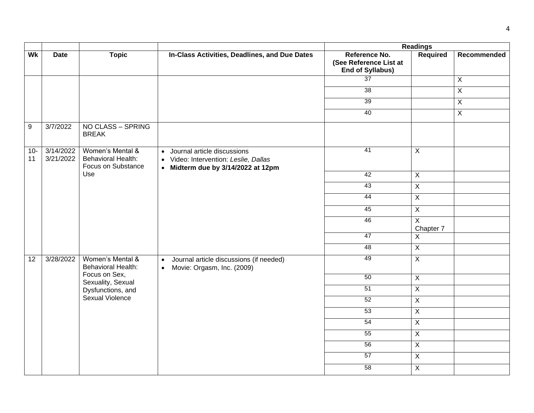|             |                                     |                                                                     |                                                                                                                         |                                                   | <b>Readings</b><br>Reference No.<br>Required |                |  |  |  |
|-------------|-------------------------------------|---------------------------------------------------------------------|-------------------------------------------------------------------------------------------------------------------------|---------------------------------------------------|----------------------------------------------|----------------|--|--|--|
| Wk          | <b>Date</b>                         | <b>Topic</b>                                                        | In-Class Activities, Deadlines, and Due Dates                                                                           | (See Reference List at<br><b>End of Syllabus)</b> |                                              | Recommended    |  |  |  |
|             |                                     |                                                                     |                                                                                                                         | 37                                                |                                              | $\overline{X}$ |  |  |  |
|             |                                     |                                                                     |                                                                                                                         | 38                                                |                                              | $\overline{X}$ |  |  |  |
|             |                                     |                                                                     |                                                                                                                         | 39                                                |                                              | $\overline{X}$ |  |  |  |
|             |                                     |                                                                     |                                                                                                                         | 40                                                |                                              | $\mathsf{X}$   |  |  |  |
| 9           | 3/7/2022                            | NO CLASS - SPRING<br><b>BREAK</b>                                   |                                                                                                                         |                                                   |                                              |                |  |  |  |
| $10-$<br>11 | $3/\overline{14/2022}$<br>3/21/2022 | Women's Mental &<br><b>Behavioral Health:</b><br>Focus on Substance | Journal article discussions<br>$\bullet$<br>• Video: Intervention: Leslie, Dallas<br>• Midterm due by 3/14/2022 at 12pm | 41                                                | $\sf X$                                      |                |  |  |  |
|             |                                     | Use                                                                 |                                                                                                                         | 42                                                | $\overline{X}$                               |                |  |  |  |
|             |                                     |                                                                     |                                                                                                                         | 43                                                | $\overline{X}$                               |                |  |  |  |
|             |                                     |                                                                     |                                                                                                                         | 44                                                | $\overline{X}$                               |                |  |  |  |
|             |                                     |                                                                     |                                                                                                                         | 45                                                | $\overline{X}$                               |                |  |  |  |
|             |                                     |                                                                     |                                                                                                                         | 46                                                | $\overline{X}$<br>Chapter 7                  |                |  |  |  |
|             |                                     |                                                                     |                                                                                                                         | 47                                                | $\overline{X}$                               |                |  |  |  |
|             |                                     |                                                                     |                                                                                                                         | 48                                                | $\mathsf X$                                  |                |  |  |  |
| 12          | 3/28/2022                           | Women's Mental &<br><b>Behavioral Health:</b>                       | Journal article discussions (if needed)<br>$\bullet$<br>Movie: Orgasm, Inc. (2009)<br>$\bullet$                         | 49                                                | $\overline{X}$                               |                |  |  |  |
|             |                                     | Focus on Sex,<br>Sexuality, Sexual                                  |                                                                                                                         | 50                                                | $\overline{X}$                               |                |  |  |  |
|             |                                     | Dysfunctions, and                                                   |                                                                                                                         | 51                                                | $\mathsf X$                                  |                |  |  |  |
|             |                                     | Sexual Violence                                                     |                                                                                                                         | 52                                                | $\overline{X}$                               |                |  |  |  |
|             |                                     |                                                                     |                                                                                                                         | 53                                                | $\overline{X}$                               |                |  |  |  |
|             |                                     |                                                                     |                                                                                                                         | 54                                                | $\overline{X}$                               |                |  |  |  |
|             |                                     |                                                                     |                                                                                                                         | 55                                                | $\pmb{\times}$                               |                |  |  |  |
|             |                                     |                                                                     |                                                                                                                         | 56                                                | $\overline{X}$                               |                |  |  |  |
|             |                                     |                                                                     |                                                                                                                         | 57                                                | $\overline{\mathsf{x}}$                      |                |  |  |  |
|             |                                     |                                                                     |                                                                                                                         | 58                                                | $\overline{X}$                               |                |  |  |  |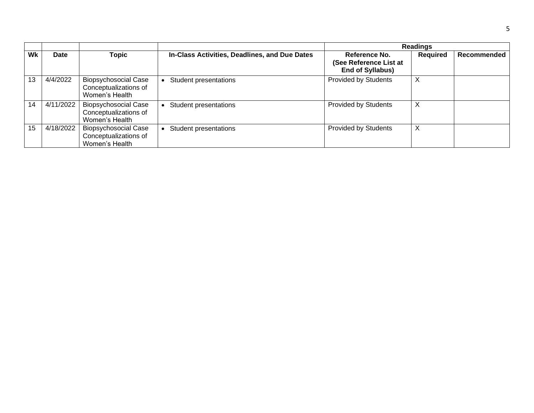|    |             |                                                                        |                                               |                                                                    | <b>Readings</b> |             |
|----|-------------|------------------------------------------------------------------------|-----------------------------------------------|--------------------------------------------------------------------|-----------------|-------------|
| Wk | <b>Date</b> | <b>Topic</b>                                                           | In-Class Activities, Deadlines, and Due Dates | Reference No.<br>(See Reference List at<br><b>End of Syllabus)</b> | <b>Required</b> | Recommended |
| 13 | 4/4/2022    | <b>Biopsychosocial Case</b><br>Conceptualizations of<br>Women's Health | Student presentations                         | Provided by Students                                               | X               |             |
| 14 | 4/11/2022   | <b>Biopsychosocial Case</b><br>Conceptualizations of<br>Women's Health | <b>Student presentations</b>                  | <b>Provided by Students</b>                                        | Χ               |             |
| 15 | 4/18/2022   | <b>Biopsychosocial Case</b><br>Conceptualizations of<br>Women's Health | Student presentations                         | <b>Provided by Students</b>                                        | X               |             |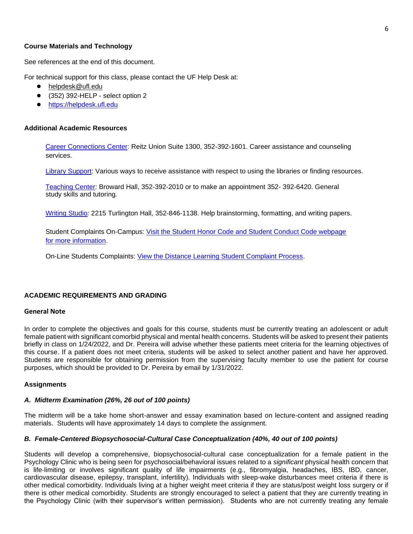### **Course Materials and Technology**

See references at the end of this document.

For technical support for this class, please contact the UF Help Desk at:

- [helpdesk@ufl.edu](file:///C:/Users/hackg/Desktop/Learning-support@ufl.edu)
- (352) 392-HELP select option 2
- [https://helpdesk.ufl.edu](https://helpdesk.ufl.edu/)

## **Additional Academic Resources**

[Career Connections Center:](https://career.ufl.edu/) Reitz Union Suite 1300, 352-392-1601. Career assistance and counseling services.

[Library Support:](https://cms.uflib.ufl.edu/ask) Various ways to receive assistance with respect to using the libraries or finding resources.

[Teaching Center:](https://teachingcenter.ufl.edu/) Broward Hall, 352-392-2010 or to make an appointment 352- 392-6420. General study skills and tutoring.

[Writing Studio](https://writing.ufl.edu/writing-studio/)*:* 2215 Turlington Hall*,* 352-846-1138. Help brainstorming, formatting, and writing papers.

Student Complaints On-Campus: [Visit the Student Honor Code and Student Conduct Code webpage](https://sccr.dso.ufl.edu/policies/student-honor-%20code-student-conduct-code/)  [for more information.](https://sccr.dso.ufl.edu/policies/student-honor-%20code-student-conduct-code/)

On-Line Students Complaints: [View the Distance Learning Student Complaint Process.](https://distance.ufl.edu/getting-help/student-complaint-process/)

#### **ACADEMIC REQUIREMENTS AND GRADING**

#### **General Note**

In order to complete the objectives and goals for this course, students must be currently treating an adolescent or adult female patient with significant comorbid physical and mental health concerns. Students will be asked to present their patients briefly in class on 1/24/2022, and Dr. Pereira will advise whether these patients meet criteria for the learning objectives of this course. If a patient does not meet criteria, students will be asked to select another patient and have her approved. Students are responsible for obtaining permission from the supervising faculty member to use the patient for course purposes, which should be provided to Dr. Pereira by email by 1/31/2022.

#### **Assignments**

#### *A. Midterm Examination (26%, 26 out of 100 points)*

The midterm will be a take home short-answer and essay examination based on lecture-content and assigned reading materials. Students will have approximately 14 days to complete the assignment.

#### *B. Female-Centered Biopsychosocial-Cultural Case Conceptualization (40%, 40 out of 100 points)*

Students will develop a comprehensive, biopsychosocial-cultural case conceptualization for a female patient in the Psychology Clinic who is being seen for psychosocial/behavioral issues related to a *significant* physical health concern that is life-limiting or involves significant quality of life impairments (e.g., fibromyalgia, headaches, IBS, IBD, cancer, cardiovascular disease, epilepsy, transplant, infertility). Individuals with sleep-wake disturbances meet criteria if there is other medical comorbidity. Individuals living at a higher weight meet criteria if they are status/post weight loss surgery or if there is other medical comorbidity. Students are strongly encouraged to select a patient that they are currently treating in the Psychology Clinic (with their supervisor's written permission). Students who are not currently treating any female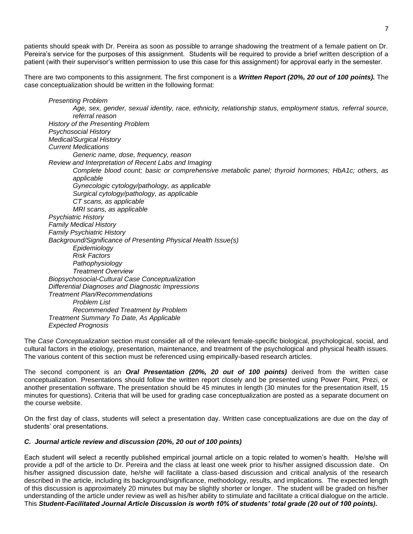patients should speak with Dr. Pereira as soon as possible to arrange shadowing the treatment of a female patient on Dr. Pereira's service for the purposes of this assignment. Students will be required to provide a brief written description of a patient (with their supervisor's written permission to use this case for this assignment) for approval early in the semester.

There are two components to this assignment. The first component is a *Written Report (20%, 20 out of 100 points).* The case conceptualization should be written in the following format:

*Presenting Problem Age, sex, gender, sexual identity, race, ethnicity, relationship status, employment status, referral source, referral reason History of the Presenting Problem Psychosocial History Medical/Surgical History Current Medications Generic name, dose, frequency, reason Review and Interpretation of Recent Labs and Imaging Complete blood count; basic or comprehensive metabolic panel; thyroid hormones; HbA1c; others, as applicable Gynecologic cytology/pathology, as applicable Surgical cytology/pathology, as applicable CT scans, as applicable MRI scans, as applicable Psychiatric History Family Medical History Family Psychiatric History Background/Significance of Presenting Physical Health Issue(s) Epidemiology Risk Factors Pathophysiology Treatment Overview Biopsychosocial-Cultural Case Conceptualization Differential Diagnoses and Diagnostic Impressions Treatment Plan/Recommendations Problem List Recommended Treatment by Problem Treatment Summary To Date, As Applicable Expected Prognosis*

The *Case Conceptualization* section must consider all of the relevant female-specific biological, psychological, social, and cultural factors in the etiology, presentation, maintenance, and treatment of the psychological and physical health issues. The various content of this section must be referenced using empirically-based research articles.

The second component is an *Oral Presentation (20%, 20 out of 100 points)* derived from the written case conceptualization. Presentations should follow the written report closely and be presented using Power Point, Prezi, or another presentation software. The presentation should be 45 minutes in length (30 minutes for the presentation itself, 15 minutes for questions). Criteria that will be used for grading case conceptualization are posted as a separate document on the course website.

On the first day of class, students will select a presentation day. Written case conceptualizations are due on the day of students' oral presentations.

## *C. Journal article review and discussion (20%, 20 out of 100 points)*

Each student will select a recently published empirical journal article on a topic related to women's health. He/she will provide a pdf of the article to Dr. Pereira and the class at least one week prior to his/her assigned discussion date. On his/her assigned discussion date, he/she will facilitate a class-based discussion and critical analysis of the research described in the article, including its background/significance, methodology, results, and implications. The expected length of this discussion is approximately 20 minutes but may be slightly shorter or longer. The student will be graded on his/her understanding of the article under review as well as his/her ability to stimulate and facilitate a critical dialogue on the article. This *Student-Facilitated Journal Article Discussion is worth 10% of students' total grade (20 out of 100 points).*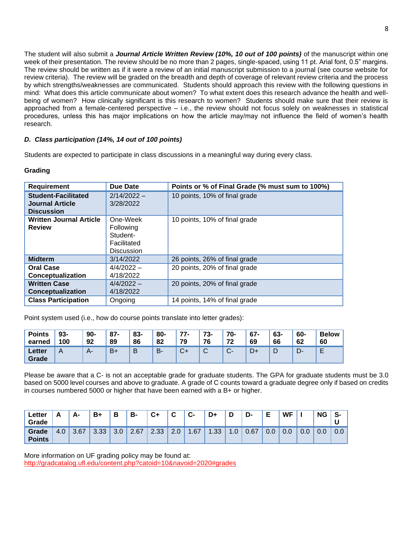The student will also submit a *Journal Article Written Review (10%, 10 out of 100 points)* of the manuscript within one week of their presentation. The review should be no more than 2 pages, single-spaced, using 11 pt. Arial font, 0.5" margins. The review should be written as if it were a review of an initial manuscript submission to a journal (see course website for review criteria). The review will be graded on the breadth and depth of coverage of relevant review criteria and the process by which strengths/weaknesses are communicated. Students should approach this review with the following questions in mind: What does this article communicate about women? To what extent does this research advance the health and wellbeing of women? How clinically significant is this research to women? Students should make sure that their review is approached from a female-centered perspective – i.e., the review should not focus solely on weaknesses in statistical procedures, unless this has major implications on how the article may/may not influence the field of women's health research.

## *D. Class participation (14%, 14 out of 100 points)*

Students are expected to participate in class discussions in a meaningful way during every class.

## **Grading**

| <b>Requirement</b>                                                        | <b>Due Date</b>                                                       | Points or % of Final Grade (% must sum to 100%) |
|---------------------------------------------------------------------------|-----------------------------------------------------------------------|-------------------------------------------------|
| <b>Student-Facilitated</b><br><b>Journal Article</b><br><b>Discussion</b> | $2/14/2022 -$<br>3/28/2022                                            | 10 points, 10% of final grade                   |
| <b>Written Journal Article</b><br><b>Review</b>                           | One-Week<br>Following<br>Student-<br>Facilitated<br><b>Discussion</b> | 10 points, 10% of final grade                   |
| <b>Midterm</b>                                                            | 3/14/2022                                                             | 26 points, 26% of final grade                   |
| <b>Oral Case</b><br>Conceptualization                                     | $4/4/2022 -$<br>4/18/2022                                             | 20 points, 20% of final grade                   |
| <b>Written Case</b><br><b>Conceptualization</b>                           | $4/4/2022 -$<br>4/18/2022                                             | 20 points, 20% of final grade                   |
| <b>Class Participation</b>                                                | Ongoing                                                               | 14 points, 14% of final grade                   |

Point system used (i.e., how do course points translate into letter grades):

| <b>Points</b>   | $93 -$         | $90-$ | $87 -$ | 83- | 80-   | 77-          | 73-             | 70-          | $67-$ | 63- | 60- | <b>Below</b> |
|-----------------|----------------|-------|--------|-----|-------|--------------|-----------------|--------------|-------|-----|-----|--------------|
| earned          | 100            | 92    | 89     | 86  | 82    | 79           | 76              | 72           | 69    | 66  | 62  | 60           |
| Letter<br>Grade | $\overline{A}$ | $A-$  | $B+$   | B   | $B -$ | $\sim$<br>v+ | $\sqrt{2}$<br>ັ | $\sim$<br>U- |       | D   | -ש  | –            |

Please be aware that a C- is not an acceptable grade for graduate students. The GPA for graduate students must be 3.0 based on 5000 level courses and above to graduate. A grade of C counts toward a graduate degree only if based on credits in courses numbered 5000 or higher that have been earned with a B+ or higher.

| Letter<br>Grade        | Δ<br><u>r</u> | А-   | B+   | D<br>p                   | В-   | $c_{+}$ | ⌒<br>ັ | C-                              | D+   | n<br>L | D-   | F<br>▃ | WF  |     | <b>NG</b> | S-<br>u |
|------------------------|---------------|------|------|--------------------------|------|---------|--------|---------------------------------|------|--------|------|--------|-----|-----|-----------|---------|
| Grade<br><b>Points</b> | 4.0           | 3.67 | 3.33 | $\Omega$ $\Omega$<br>J.U | 2.67 | 2.33    | 2.0    | .67<br>$\overline{\phantom{a}}$ | 1.33 | 1.0    | 0.67 | 0.0    | 0.0 | 0.0 | 0.0       | 0.0     |

More information on UF grading policy may be found at: <http://gradcatalog.ufl.edu/content.php?catoid=10&navoid=2020#grades>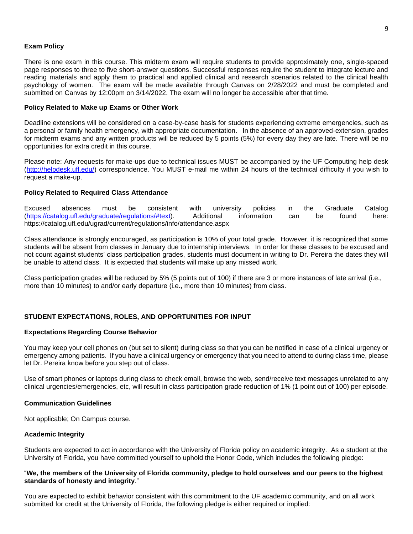## **Exam Policy**

There is one exam in this course. This midterm exam will require students to provide approximately one, single-spaced page responses to three to five short-answer questions. Successful responses require the student to integrate lecture and reading materials and apply them to practical and applied clinical and research scenarios related to the clinical health psychology of women. The exam will be made available through Canvas on 2/28/2022 and must be completed and submitted on Canvas by 12:00pm on 3/14/2022. The exam will no longer be accessible after that time.

#### **Policy Related to Make up Exams or Other Work**

Deadline extensions will be considered on a case-by-case basis for students experiencing extreme emergencies, such as a personal or family health emergency, with appropriate documentation. In the absence of an approved-extension, grades for midterm exams and any written products will be reduced by 5 points (5%) for every day they are late. There will be no opportunities for extra credit in this course.

Please note: Any requests for make-ups due to technical issues MUST be accompanied by the UF Computing help desk [\(http://helpdesk.ufl.edu/\)](http://helpdesk.ufl.edu/) correspondence. You MUST e-mail me within 24 hours of the technical difficulty if you wish to request a make-up.

### **Policy Related to Required Class Attendance**

Excused absences must be consistent with university policies in the Graduate Catalog [\(https://catalog.ufl.edu/graduate/regulations/#text\)](https://catalog.ufl.edu/graduate/regulations/#text). Additional information can be found here: <https://catalog.ufl.edu/ugrad/current/regulations/info/attendance.aspx>

Class attendance is strongly encouraged, as participation is 10% of your total grade. However, it is recognized that some students will be absent from classes in January due to internship interviews. In order for these classes to be excused and not count against students' class participation grades, students must document in writing to Dr. Pereira the dates they will be unable to attend class. It is expected that students will make up any missed work.

Class participation grades will be reduced by 5% (5 points out of 100) if there are 3 or more instances of late arrival (i.e., more than 10 minutes) to and/or early departure (i.e., more than 10 minutes) from class.

## **STUDENT EXPECTATIONS, ROLES, AND OPPORTUNITIES FOR INPUT**

#### **Expectations Regarding Course Behavior**

You may keep your cell phones on (but set to silent) during class so that you can be notified in case of a clinical urgency or emergency among patients. If you have a clinical urgency or emergency that you need to attend to during class time, please let Dr. Pereira know before you step out of class.

Use of smart phones or laptops during class to check email, browse the web, send/receive text messages unrelated to any clinical urgencies/emergencies, etc, will result in class participation grade reduction of 1% (1 point out of 100) per episode.

#### **Communication Guidelines**

Not applicable; On Campus course.

#### **Academic Integrity**

Students are expected to act in accordance with the University of Florida policy on academic integrity. As a student at the University of Florida, you have committed yourself to uphold the Honor Code, which includes the following pledge:

## "We, the members of the University of Florida community, pledge to hold ourselves and our peers to the highest **standards of honesty and integrity**."

You are expected to exhibit behavior consistent with this commitment to the UF academic community, and on all work submitted for credit at the University of Florida, the following pledge is either required or implied: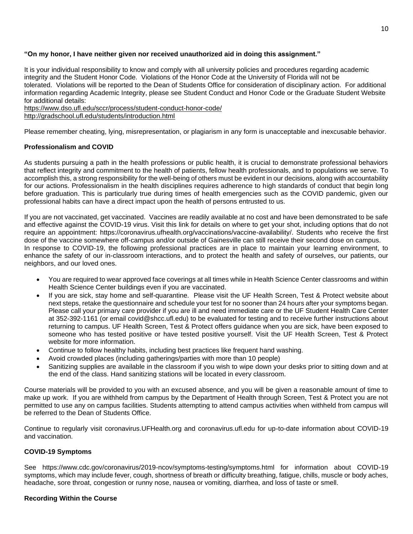## **"On my honor, I have neither given nor received unauthorized aid in doing this assignment."**

It is your individual responsibility to know and comply with all university policies and procedures regarding academic integrity and the Student Honor Code. Violations of the Honor Code at the University of Florida will not be tolerated. Violations will be reported to the Dean of Students Office for consideration of disciplinary action. For additional information regarding Academic Integrity, please see Student Conduct and Honor Code or the Graduate Student Website for additional details:

<https://www.dso.ufl.edu/sccr/process/student-conduct-honor-code/> <http://gradschool.ufl.edu/students/introduction.html>

Please remember cheating, lying, misrepresentation, or plagiarism in any form is unacceptable and inexcusable behavior.

## **Professionalism and COVID**

As students pursuing a path in the health professions or public health, it is crucial to demonstrate professional behaviors that reflect integrity and commitment to the health of patients, fellow health professionals, and to populations we serve. To accomplish this, a strong responsibility for the well-being of others must be evident in our decisions, along with accountability for our actions. Professionalism in the health disciplines requires adherence to high standards of conduct that begin long before graduation. This is particularly true during times of health emergencies such as the COVID pandemic, given our professional habits can have a direct impact upon the health of persons entrusted to us.

If you are not vaccinated, get vaccinated. Vaccines are readily available at no cost and have been demonstrated to be safe and effective against the COVID-19 virus. Visit this link for details on where to get your shot, including options that do not require an appointment: https://coronavirus.ufhealth.org/vaccinations/vaccine-availability/. Students who receive the first dose of the vaccine somewhere off-campus and/or outside of Gainesville can still receive their second dose on campus. In response to COVID-19, the following professional practices are in place to maintain your learning environment, to enhance the safety of our in-classroom interactions, and to protect the health and safety of ourselves, our patients, our neighbors, and our loved ones.

- You are required to wear approved face coverings at all times while in Health Science Center classrooms and within Health Science Center buildings even if you are vaccinated.
- If you are sick, stay home and self-quarantine. Please visit the UF Health Screen, Test & Protect website about next steps, retake the questionnaire and schedule your test for no sooner than 24 hours after your symptoms began. Please call your primary care provider if you are ill and need immediate care or the UF Student Health Care Center at 352-392-1161 (or email covid@shcc.ufl.edu) to be evaluated for testing and to receive further instructions about returning to campus. UF Health Screen, Test & Protect offers guidance when you are sick, have been exposed to someone who has tested positive or have tested positive yourself. Visit the UF Health Screen, Test & Protect website for more information.
- Continue to follow healthy habits, including best practices like frequent hand washing.
- Avoid crowded places (including gatherings/parties with more than 10 people)
- Sanitizing supplies are available in the classroom if you wish to wipe down your desks prior to sitting down and at the end of the class. Hand sanitizing stations will be located in every classroom.

Course materials will be provided to you with an excused absence, and you will be given a reasonable amount of time to make up work. If you are withheld from campus by the Department of Health through Screen, Test & Protect you are not permitted to use any on campus facilities. Students attempting to attend campus activities when withheld from campus will be referred to the Dean of Students Office.

Continue to regularly visit coronavirus.UFHealth.org and coronavirus.ufl.edu for up-to-date information about COVID-19 and vaccination.

## **COVID-19 Symptoms**

See https://www.cdc.gov/coronavirus/2019-ncov/symptoms-testing/symptoms.html for information about COVID-19 symptoms, which may include fever, cough, shortness of breath or difficulty breathing, fatigue, chills, muscle or body aches, headache, sore throat, congestion or runny nose, nausea or vomiting, diarrhea, and loss of taste or smell.

## **Recording Within the Course**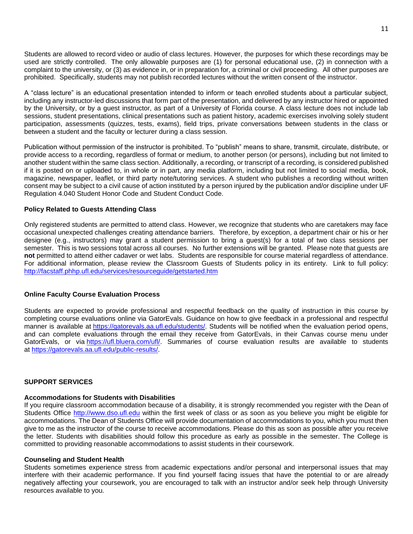Students are allowed to record video or audio of class lectures. However, the purposes for which these recordings may be used are strictly controlled. The only allowable purposes are (1) for personal educational use, (2) in connection with a complaint to the university, or (3) as evidence in, or in preparation for, a criminal or civil proceeding. All other purposes are prohibited. Specifically, students may not publish recorded lectures without the written consent of the instructor.

A "class lecture" is an educational presentation intended to inform or teach enrolled students about a particular subject, including any instructor-led discussions that form part of the presentation, and delivered by any instructor hired or appointed by the University, or by a guest instructor, as part of a University of Florida course. A class lecture does not include lab sessions, student presentations, clinical presentations such as patient history, academic exercises involving solely student participation, assessments (quizzes, tests, exams), field trips, private conversations between students in the class or between a student and the faculty or lecturer during a class session.

Publication without permission of the instructor is prohibited. To "publish" means to share, transmit, circulate, distribute, or provide access to a recording, regardless of format or medium, to another person (or persons), including but not limited to another student within the same class section. Additionally, a recording, or transcript of a recording, is considered published if it is posted on or uploaded to, in whole or in part, any media platform, including but not limited to social media, book, magazine, newspaper, leaflet, or third party note/tutoring services. A student who publishes a recording without written consent may be subject to a civil cause of action instituted by a person injured by the publication and/or discipline under UF Regulation 4.040 Student Honor Code and Student Conduct Code.

### **Policy Related to Guests Attending Class**

Only registered students are permitted to attend class. However, we recognize that students who are caretakers may face occasional unexpected challenges creating attendance barriers. Therefore, by exception, a department chair or his or her designee (e.g., instructors) may grant a student permission to bring a guest(s) for a total of two class sessions per semester. This is two sessions total across all courses. No further extensions will be granted. Please note that guests are **not** permitted to attend either cadaver or wet labs. Students are responsible for course material regardless of attendance. For additional information, please review the Classroom Guests of Students policy in its entirety. Link to full policy: <http://facstaff.phhp.ufl.edu/services/resourceguide/getstarted.htm>

### **Online Faculty Course Evaluation Process**

Students are expected to provide professional and respectful feedback on the quality of instruction in this course by completing course evaluations online via GatorEvals. Guidance on how to give feedback in a professional and respectful manner is available at [https://gatorevals.aa.ufl.edu/students/.](https://gatorevals.aa.ufl.edu/students/) Students will be notified when the evaluation period opens, and can complete evaluations through the email they receive from GatorEvals, in their Canvas course menu under GatorEvals, or via [https://ufl.bluera.com/ufl/.](https://urldefense.proofpoint.com/v2/url?u=https-3A__ufl.bluera.com_ufl_&d=DwMFAg&c=sJ6xIWYx-zLMB3EPkvcnVg&r=y2HjEMjRMHJhfdvLrqJZlYczRsfp5e4TfQjHuc5rVHg&m=WXko6OK_Ha6T00ZVAsEaSh99qRXHOgMNFRywCoehRho&s=itVU46DDJjnIg4CW6efJOOLgPjdzsPvCghyfzJoFONs&e=) Summaries of course evaluation results are available to students at [https://gatorevals.aa.ufl.edu/public-results/.](https://gatorevals.aa.ufl.edu/public-results/)

## **SUPPORT SERVICES**

### **Accommodations for Students with Disabilities**

If you require classroom accommodation because of a disability, it is strongly recommended you register with the Dean of Students Office [http://www.dso.ufl.edu](http://www.dso.ufl.edu/) within the first week of class or as soon as you believe you might be eligible for accommodations. The Dean of Students Office will provide documentation of accommodations to you, which you must then give to me as the instructor of the course to receive accommodations. Please do this as soon as possible after you receive the letter. Students with disabilities should follow this procedure as early as possible in the semester. The College is committed to providing reasonable accommodations to assist students in their coursework.

#### **Counseling and Student Health**

Students sometimes experience stress from academic expectations and/or personal and interpersonal issues that may interfere with their academic performance. If you find yourself facing issues that have the potential to or are already negatively affecting your coursework, you are encouraged to talk with an instructor and/or seek help through University resources available to you.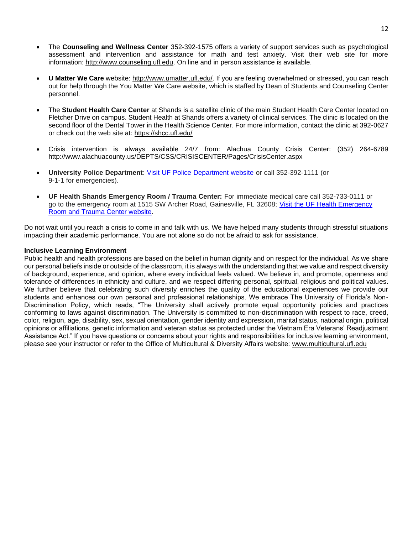- The **Counseling and Wellness Center** 352-392-1575 offers a variety of support services such as psychological assessment and intervention and assistance for math and test anxiety. Visit their web site for more information: [http://www.counseling.ufl.edu.](http://www.counseling.ufl.edu/) On line and in person assistance is available.
- **U Matter We Care** website: [http://www.umatter.ufl.edu/.](http://www.umatter.ufl.edu/) If you are feeling overwhelmed or stressed, you can reach out for help through the You Matter We Care website, which is staffed by Dean of Students and Counseling Center personnel.
- The **Student Health Care Center** at Shands is a satellite clinic of the main Student Health Care Center located on Fletcher Drive on campus. Student Health at Shands offers a variety of clinical services. The clinic is located on the second floor of the Dental Tower in the Health Science Center. For more information, contact the clinic at 392-0627 or check out the web site at: <https://shcc.ufl.edu/>
- Crisis intervention is always available 24/7 from: Alachua County Crisis Center: (352) 264-6789 <http://www.alachuacounty.us/DEPTS/CSS/CRISISCENTER/Pages/CrisisCenter.aspx>
- **University Police Department**: [Visit UF Police Department website](https://police.ufl.edu/) or call 352-392-1111 (or 9-1-1 for emergencies).
- **UF Health Shands Emergency Room / Trauma Center:** For immediate medical care call 352-733-0111 or go to the emergency room at 1515 SW Archer Road, Gainesville, FL 32608; [Visit the UF Health Emergency](https://ufhealth.org/emergency-room-trauma-center)  [Room and Trauma Center website.](https://ufhealth.org/emergency-room-trauma-center)

Do not wait until you reach a crisis to come in and talk with us. We have helped many students through stressful situations impacting their academic performance. You are not alone so do not be afraid to ask for assistance.

## **Inclusive Learning Environment**

Public health and health professions are based on the belief in human dignity and on respect for the individual. As we share our personal beliefs inside or outside of the classroom, it is always with the understanding that we value and respect diversity of background, experience, and opinion, where every individual feels valued. We believe in, and promote, openness and tolerance of differences in ethnicity and culture, and we respect differing personal, spiritual, religious and political values. We further believe that celebrating such diversity enriches the quality of the educational experiences we provide our students and enhances our own personal and professional relationships. We embrace The University of Florida's Non-Discrimination Policy, which reads, "The University shall actively promote equal opportunity policies and practices conforming to laws against discrimination. The University is committed to non-discrimination with respect to race, creed, color, religion, age, disability, sex, sexual orientation, gender identity and expression, marital status, national origin, political opinions or affiliations, genetic information and veteran status as protected under the Vietnam Era Veterans' Readjustment Assistance Act." If you have questions or concerns about your rights and responsibilities for inclusive learning environment, please see your instructor or refer to the Office of Multicultural & Diversity Affairs website: [www.multicultural.ufl.edu](http://www.multicultural.ufl.edu/)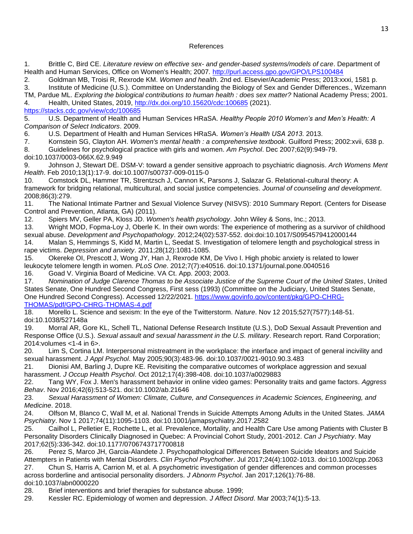## References

1. Brittle C, Bird CE. *Literature review on effective sex- and gender-based systems/models of care*. Department of Health and Human Services, Office on Women's Health; 2007.<http://purl.access.gpo.gov/GPO/LPS100484>

2. Goldman MB, Troisi R, Rexrode KM. *Women and health*. 2nd ed. Elsevier/Academic Press; 2013:xxxi, 1581 p. 3. Institute of Medicine (U.S.). Committee on Understanding the Biology of Sex and Gender Differences., Wizemann

TM, Pardue ML. *Exploring the biological contributions to human health : does sex matter?* National Academy Press; 2001. 4. Health, United States, 2019,<http://dx.doi.org/10.15620/cdc:100685> (2021).

## <https://stacks.cdc.gov/view/cdc/100685>

5. U.S. Department of Health and Human Services HRaSA. *Healthy People 2010 Women's and Men's Health: A Comparison of Select Indicators*. 2009.

6. U.S. Department of Health and Human Services HRaSA. *Women's Health USA 2013*. 2013.

7. Kornstein SG, Clayton AH. *Women's mental health : a comprehensive textbook*. Guilford Press; 2002:xvii, 638 p.

8. Guidelines for psychological practice with girls and women. *Am Psychol*. Dec 2007;62(9):949-79.

doi:10.1037/0003-066X.62.9.949

9. Johnson J, Stewart DE. DSM-V: toward a gender sensitive approach to psychiatric diagnosis. *Arch Womens Ment Health*. Feb 2010;13(1):17-9. doi:10.1007/s00737-009-0115-0

10. Comstock DL, Hammer TR, Strentzsch J, Cannon K, Parsons J, Salazar G. Relational-cultural theory: A framework for bridging relational, multicultural, and social justice competencies. *Journal of counseling and development*. 2008;86(3):279.

11. The National Intimate Partner and Sexual Violence Survey (NISVS): 2010 Summary Report. (Centers for Disease Control and Prevention, Atlanta, GA) (2011).

12. Spiers MV, Geller PA, Kloss JD. *Women's health psychology*. John Wiley & Sons, Inc.; 2013.

13. Wright MOD, Fopma-Loy J, Oberle K. In their own words: The experience of mothering as a survivor of childhood sexual abuse. *Development and Psychopathology*. 2012;24(02):537-552. doi:doi:10.1017/S0954579412000144

14. Malan S, Hemmings S, Kidd M, Martin L, Seedat S. Investigation of telomere length and psychological stress in rape victims. *Depression and anxiety*. 2011;28(12):1081-1085.

15. Okereke OI, Prescott J, Wong JY, Han J, Rexrode KM, De Vivo I. High phobic anxiety is related to lower leukocyte telomere length in women. *PLoS One*. 2012;7(7):e40516. doi:10.1371/journal.pone.0040516 16. Goad V. Virginia Board of Medicine. VA Ct. App. 2003; 2003.

17. *Nomination of Judge Clarence Thomas to be Associate Justice of the Supreme Court of the United States*, United States Senate, One Hundred Second Congress, First sess (1993) (Committee on the Judiciary, United States Senate, One Hundred Second Congress). Accessed 12/22/2021. [https://www.govinfo.gov/content/pkg/GPO-CHRG-](https://www.govinfo.gov/content/pkg/GPO-CHRG-THOMAS/pdf/GPO-CHRG-THOMAS-4.pdf)[THOMAS/pdf/GPO-CHRG-THOMAS-4.pdf](https://www.govinfo.gov/content/pkg/GPO-CHRG-THOMAS/pdf/GPO-CHRG-THOMAS-4.pdf)

18. Morello L. Science and sexism: In the eye of the Twitterstorm. *Nature*. Nov 12 2015;527(7577):148-51. doi:10.1038/527148a

19. Morral AR, Gore KL, Schell TL, National Defense Research Institute (U.S.), DoD Sexual Assault Prevention and Response Office (U.S.). *Sexual assault and sexual harassment in the U.S. military*. Research report. Rand Corporation; 2014:volumes <1-4 in 6>.

20. Lim S, Cortina LM. Interpersonal mistreatment in the workplace: the interface and impact of general incivility and sexual harassment. *J Appl Psychol*. May 2005;90(3):483-96. doi:10.1037/0021-9010.90.3.483

21. Dionisi AM, Barling J, Dupre KE. Revisiting the comparative outcomes of workplace aggression and sexual harassment. *J Occup Health Psychol*. Oct 2012;17(4):398-408. doi:10.1037/a0029883

22. Tang WY, Fox J. Men's harassment behavior in online video games: Personality traits and game factors. *Aggress Behav*. Nov 2016;42(6):513-521. doi:10.1002/ab.21646

23. *Sexual Harassment of Women: Climate, Culture, and Consequences in Academic Sciences, Engineering, and Medicine*. 2018.

24. Olfson M, Blanco C, Wall M, et al. National Trends in Suicide Attempts Among Adults in the United States. *JAMA Psychiatry*. Nov 1 2017;74(11):1095-1103. doi:10.1001/jamapsychiatry.2017.2582

25. Cailhol L, Pelletier E, Rochette L, et al. Prevalence, Mortality, and Health Care Use among Patients with Cluster B Personality Disorders Clinically Diagnosed in Quebec: A Provincial Cohort Study, 2001-2012. *Can J Psychiatry*. May 2017;62(5):336-342. doi:10.1177/0706743717700818

26. Perez S, Marco JH, Garcia-Alandete J. Psychopathological Differences Between Suicide Ideators and Suicide Attempters in Patients with Mental Disorders. *Clin Psychol Psychother*. Jul 2017;24(4):1002-1013. doi:10.1002/cpp.2063 27. Chun S, Harris A, Carrion M, et al. A psychometric investigation of gender differences and common processes across borderline and antisocial personality disorders. *J Abnorm Psychol*. Jan 2017;126(1):76-88. doi:10.1037/abn0000220

28. Brief interventions and brief therapies for substance abuse. 1999;

29. Kessler RC. Epidemiology of women and depression. *J Affect Disord*. Mar 2003;74(1):5-13.